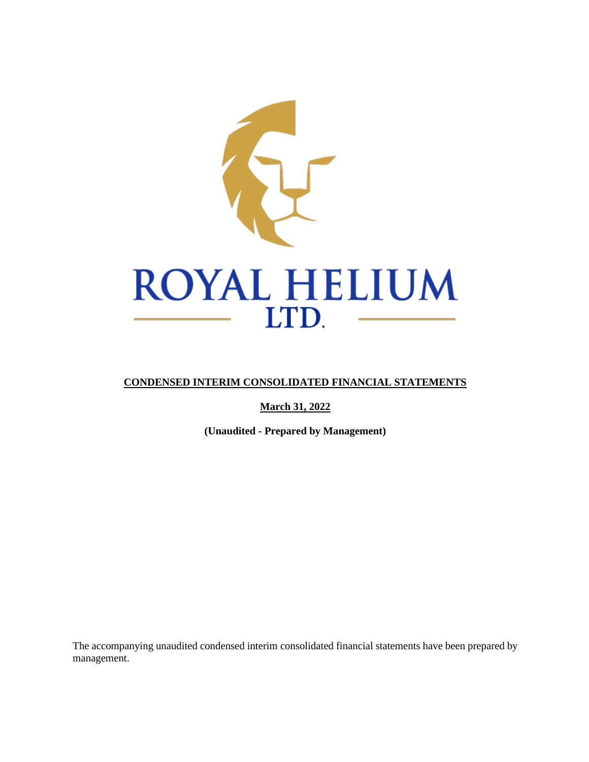

# **CONDENSED INTERIM CONSOLIDATED FINANCIAL STATEMENTS**

**March 31, 2022**

**(Unaudited - Prepared by Management)**

The accompanying unaudited condensed interim consolidated financial statements have been prepared by management.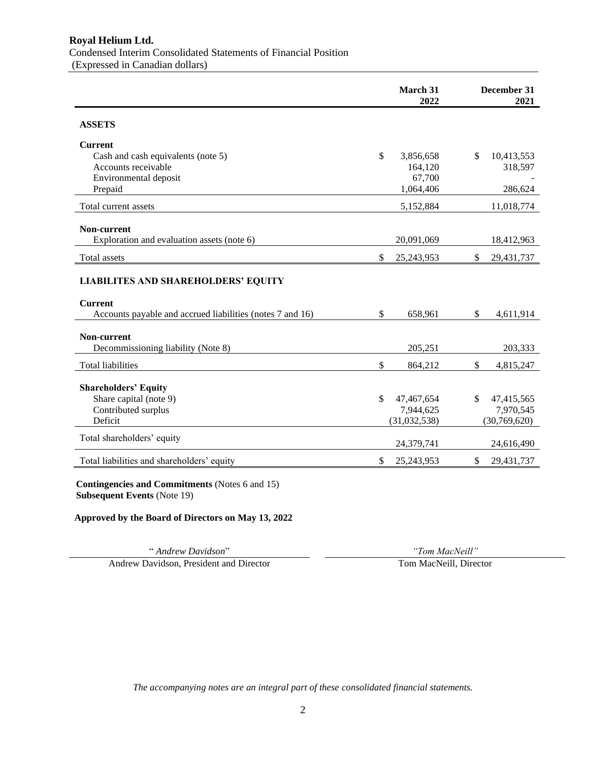|                                                                                                                           | March 31<br>2022          | December 31<br>2021 |
|---------------------------------------------------------------------------------------------------------------------------|---------------------------|---------------------|
| <b>ASSETS</b>                                                                                                             |                           |                     |
| <b>Current</b>                                                                                                            |                           |                     |
| Cash and cash equivalents (note 5)                                                                                        | $\mathbb{S}$<br>3,856,658 | \$<br>10,413,553    |
| Accounts receivable                                                                                                       | 164,120                   | 318,597             |
| Environmental deposit                                                                                                     | 67,700                    |                     |
| Prepaid                                                                                                                   | 1,064,406                 | 286,624             |
| Total current assets                                                                                                      | 5,152,884                 | 11,018,774          |
| Non-current                                                                                                               |                           |                     |
| Exploration and evaluation assets (note 6)                                                                                | 20,091,069                | 18,412,963          |
| <b>Total assets</b>                                                                                                       | \$<br>25, 243, 953        | \$<br>29,431,737    |
| <b>LIABILITES AND SHAREHOLDERS' EQUITY</b><br><b>Current</b><br>Accounts payable and accrued liabilities (notes 7 and 16) | \$<br>658,961             | \$<br>4,611,914     |
| Non-current                                                                                                               |                           |                     |
| Decommissioning liability (Note 8)                                                                                        | 205,251                   | 203,333             |
| <b>Total liabilities</b>                                                                                                  | \$<br>864,212             | \$<br>4,815,247     |
|                                                                                                                           |                           |                     |
| <b>Shareholders' Equity</b><br>Share capital (note 9)                                                                     | \$<br>47,467,654          | \$<br>47,415,565    |
| Contributed surplus                                                                                                       | 7,944,625                 | 7,970,545           |
| Deficit                                                                                                                   | (31,032,538)              | (30,769,620)        |
| Total shareholders' equity                                                                                                | 24,379,741                | 24,616,490          |
| Total liabilities and shareholders' equity                                                                                | \$<br>25,243,953          | \$<br>29,431,737    |
| Contingencies and Commitments (Notes 6 and 15)                                                                            |                           |                     |

**Contingencies and Commitments** (Notes 6 and 15) **Subsequent Events** (Note 19)

**Approved by the Board of Directors on May 13, 2022**

" *Andrew Davidson*" *"Tom MacNeill"* Andrew Davidson, President and Director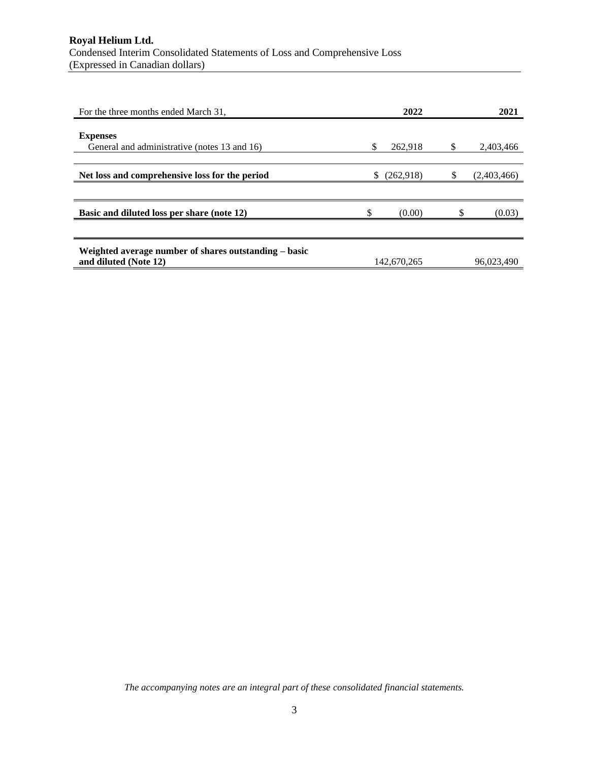| For the three months ended March 31,                                           |   | 2022        |   | 2021        |
|--------------------------------------------------------------------------------|---|-------------|---|-------------|
| <b>Expenses</b><br>General and administrative (notes 13 and 16)                | S | 262,918     | S | 2,403,466   |
|                                                                                |   |             |   |             |
| Net loss and comprehensive loss for the period                                 | S | (262,918)   |   | (2,403,466) |
|                                                                                |   |             |   |             |
| Basic and diluted loss per share (note 12)                                     |   | (0.00)      |   | (0.03)      |
|                                                                                |   |             |   |             |
| Weighted average number of shares outstanding – basic<br>and diluted (Note 12) |   | 142,670,265 |   | 96,023,490  |
|                                                                                |   |             |   |             |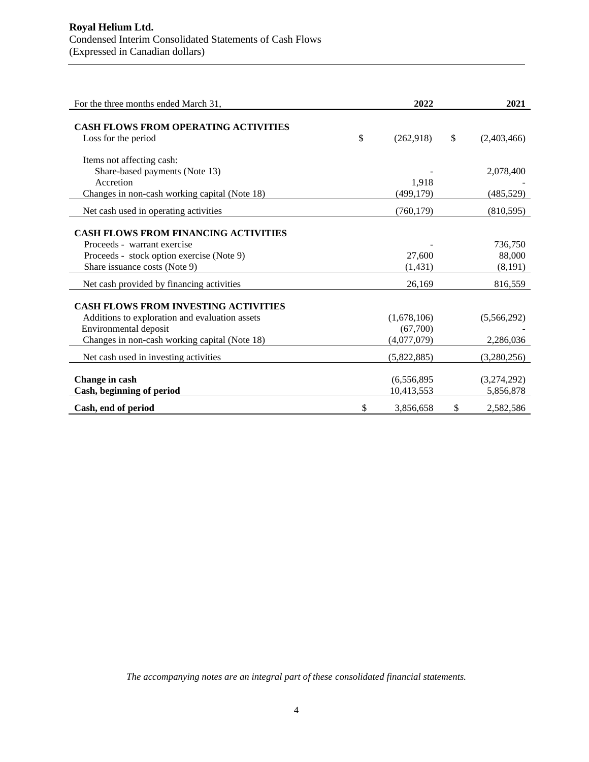| For the three months ended March 31,                               | 2022            | 2021              |
|--------------------------------------------------------------------|-----------------|-------------------|
| <b>CASH FLOWS FROM OPERATING ACTIVITIES</b><br>Loss for the period | \$<br>(262,918) | \$<br>(2,403,466) |
| Items not affecting cash:                                          |                 |                   |
| Share-based payments (Note 13)                                     |                 | 2,078,400         |
| Accretion                                                          | 1,918           |                   |
| Changes in non-cash working capital (Note 18)                      | (499, 179)      | (485, 529)        |
| Net cash used in operating activities                              | (760, 179)      | (810, 595)        |
| <b>CASH FLOWS FROM FINANCING ACTIVITIES</b>                        |                 |                   |
| Proceeds - warrant exercise                                        |                 | 736,750           |
| Proceeds - stock option exercise (Note 9)                          | 27,600          | 88,000            |
| Share issuance costs (Note 9)                                      | (1,431)         | (8,191)           |
| Net cash provided by financing activities                          | 26,169          | 816,559           |
| <b>CASH FLOWS FROM INVESTING ACTIVITIES</b>                        |                 |                   |
| Additions to exploration and evaluation assets                     | (1,678,106)     | (5,566,292)       |
| Environmental deposit                                              | (67,700)        |                   |
| Changes in non-cash working capital (Note 18)                      | (4,077,079)     | 2,286,036         |
| Net cash used in investing activities                              | (5,822,885)     | (3,280,256)       |
| Change in cash                                                     | (6, 556, 895)   | (3,274,292)       |
| Cash, beginning of period                                          | 10,413,553      | 5,856,878         |
| Cash, end of period                                                | \$<br>3,856,658 | \$<br>2,582,586   |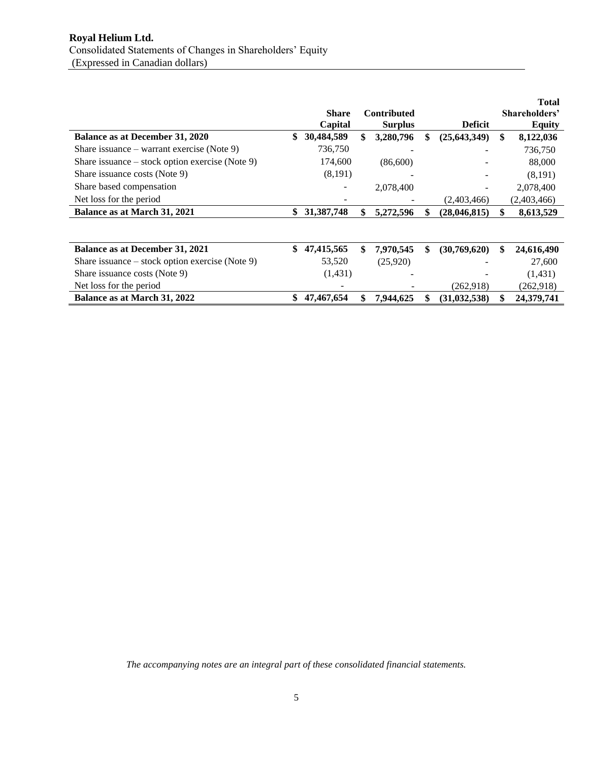|                                                   | <b>Share</b><br>Capital | <b>Contributed</b><br><b>Surplus</b> | <b>Deficit</b>       |    | <b>Total</b><br>Shareholders'<br><b>Equity</b> |
|---------------------------------------------------|-------------------------|--------------------------------------|----------------------|----|------------------------------------------------|
| Balance as at December 31, 2020                   | \$<br>30,484,589        | \$<br>3,280,796                      | \$<br>(25, 643, 349) | \$ | 8,122,036                                      |
| Share issuance – warrant exercise (Note 9)        | 736,750                 |                                      |                      |    | 736,750                                        |
| Share issuance $-$ stock option exercise (Note 9) | 174,600                 | (86,600)                             |                      |    | 88,000                                         |
| Share issuance costs (Note 9)                     | (8,191)                 |                                      |                      |    | (8,191)                                        |
| Share based compensation                          |                         | 2,078,400                            |                      |    | 2,078,400                                      |
| Net loss for the period                           |                         |                                      | (2,403,466)          |    | (2,403,466)                                    |
| Balance as at March 31, 2021                      | \$<br>31,387,748        | \$<br>5,272,596                      | \$<br>(28, 046, 815) |    | 8,613,529                                      |
|                                                   |                         |                                      |                      |    |                                                |
| <b>Balance as at December 31, 2021</b>            | \$<br>47,415,565        | \$<br>7,970,545                      | \$<br>(30,769,620)   | S  | 24,616,490                                     |
| Share issuance – stock option exercise (Note 9)   | 53,520                  | (25,920)                             |                      |    | 27,600                                         |
| Share issuance costs (Note 9)                     | (1,431)                 |                                      |                      |    | (1,431)                                        |
| Net loss for the period                           |                         |                                      | (262,918)            |    | (262, 918)                                     |
| Balance as at March 31, 2022                      | \$<br>47,467,654        | \$<br>7,944,625                      | (31, 032, 538)       |    | 24,379,741                                     |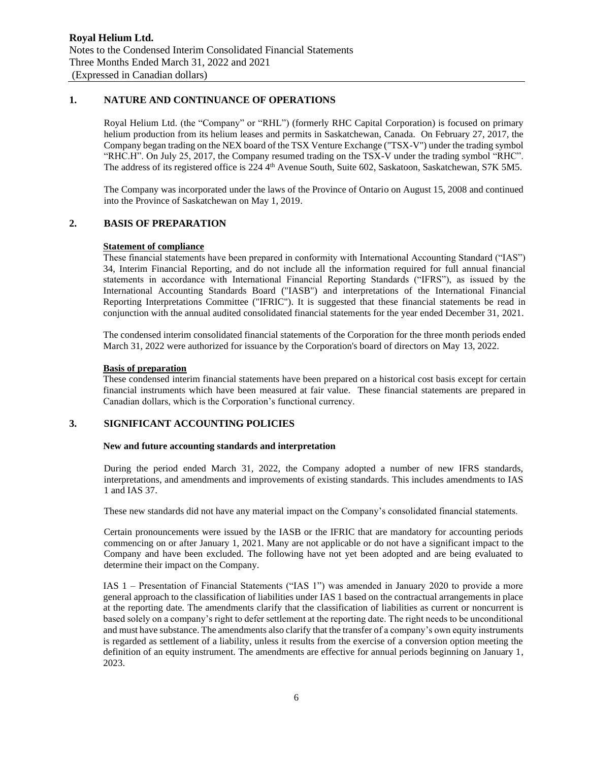# **1. NATURE AND CONTINUANCE OF OPERATIONS**

Royal Helium Ltd. (the "Company" or "RHL") (formerly RHC Capital Corporation) is focused on primary helium production from its helium leases and permits in Saskatchewan, Canada. On February 27, 2017, the Company began trading on the NEX board of the TSX Venture Exchange ("TSX-V") under the trading symbol "RHC.H". On July 25, 2017, the Company resumed trading on the TSX-V under the trading symbol "RHC". The address of its registered office is 224 4<sup>th</sup> Avenue South, Suite 602, Saskatoon, Saskatchewan, S7K 5M5.

The Company was incorporated under the laws of the Province of Ontario on August 15, 2008 and continued into the Province of Saskatchewan on May 1, 2019.

### **2. BASIS OF PREPARATION**

#### **Statement of compliance**

These financial statements have been prepared in conformity with International Accounting Standard ("IAS") 34, Interim Financial Reporting, and do not include all the information required for full annual financial statements in accordance with International Financial Reporting Standards ("IFRS"), as issued by the International Accounting Standards Board ("IASB") and interpretations of the International Financial Reporting Interpretations Committee ("IFRIC"). It is suggested that these financial statements be read in conjunction with the annual audited consolidated financial statements for the year ended December 31, 2021.

The condensed interim consolidated financial statements of the Corporation for the three month periods ended March 31, 2022 were authorized for issuance by the Corporation's board of directors on May 13, 2022.

#### **Basis of preparation**

These condensed interim financial statements have been prepared on a historical cost basis except for certain financial instruments which have been measured at fair value. These financial statements are prepared in Canadian dollars, which is the Corporation's functional currency.

## **3. SIGNIFICANT ACCOUNTING POLICIES**

#### **New and future accounting standards and interpretation**

During the period ended March 31, 2022, the Company adopted a number of new IFRS standards, interpretations, and amendments and improvements of existing standards. This includes amendments to IAS 1 and IAS 37.

These new standards did not have any material impact on the Company's consolidated financial statements.

Certain pronouncements were issued by the IASB or the IFRIC that are mandatory for accounting periods commencing on or after January 1, 2021. Many are not applicable or do not have a significant impact to the Company and have been excluded. The following have not yet been adopted and are being evaluated to determine their impact on the Company.

IAS 1 – Presentation of Financial Statements ("IAS 1") was amended in January 2020 to provide a more general approach to the classification of liabilities under IAS 1 based on the contractual arrangements in place at the reporting date. The amendments clarify that the classification of liabilities as current or noncurrent is based solely on a company's right to defer settlement at the reporting date. The right needs to be unconditional and must have substance. The amendments also clarify that the transfer of a company's own equity instruments is regarded as settlement of a liability, unless it results from the exercise of a conversion option meeting the definition of an equity instrument. The amendments are effective for annual periods beginning on January 1, 2023.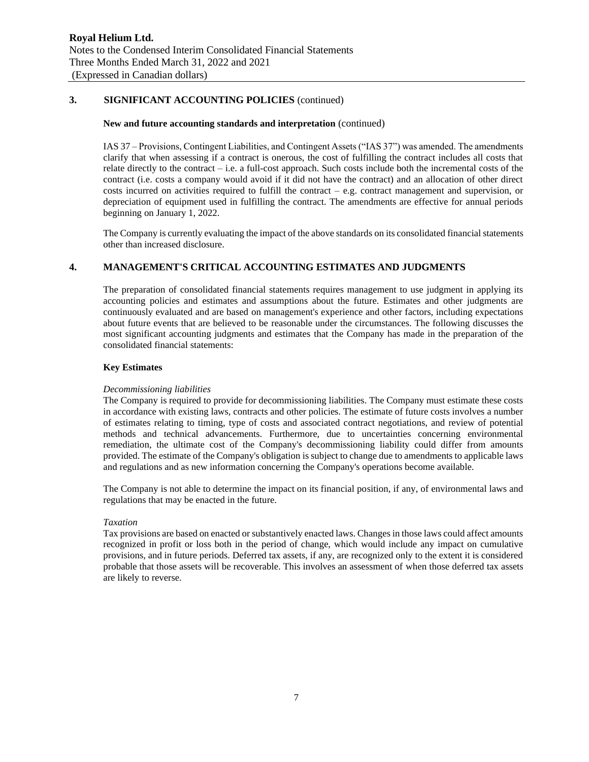## **3. SIGNIFICANT ACCOUNTING POLICIES** (continued)

#### **New and future accounting standards and interpretation** (continued)

IAS 37 – Provisions, Contingent Liabilities, and Contingent Assets ("IAS 37") was amended. The amendments clarify that when assessing if a contract is onerous, the cost of fulfilling the contract includes all costs that relate directly to the contract – i.e. a full-cost approach. Such costs include both the incremental costs of the contract (i.e. costs a company would avoid if it did not have the contract) and an allocation of other direct costs incurred on activities required to fulfill the contract – e.g. contract management and supervision, or depreciation of equipment used in fulfilling the contract. The amendments are effective for annual periods beginning on January 1, 2022.

The Company is currently evaluating the impact of the above standards on its consolidated financial statements other than increased disclosure.

## **4. MANAGEMENT'S CRITICAL ACCOUNTING ESTIMATES AND JUDGMENTS**

The preparation of consolidated financial statements requires management to use judgment in applying its accounting policies and estimates and assumptions about the future. Estimates and other judgments are continuously evaluated and are based on management's experience and other factors, including expectations about future events that are believed to be reasonable under the circumstances. The following discusses the most significant accounting judgments and estimates that the Company has made in the preparation of the consolidated financial statements:

### **Key Estimates**

#### *Decommissioning liabilities*

The Company is required to provide for decommissioning liabilities. The Company must estimate these costs in accordance with existing laws, contracts and other policies. The estimate of future costs involves a number of estimates relating to timing, type of costs and associated contract negotiations, and review of potential methods and technical advancements. Furthermore, due to uncertainties concerning environmental remediation, the ultimate cost of the Company's decommissioning liability could differ from amounts provided. The estimate of the Company's obligation is subject to change due to amendments to applicable laws and regulations and as new information concerning the Company's operations become available.

The Company is not able to determine the impact on its financial position, if any, of environmental laws and regulations that may be enacted in the future.

#### *Taxation*

Tax provisions are based on enacted or substantively enacted laws. Changes in those laws could affect amounts recognized in profit or loss both in the period of change, which would include any impact on cumulative provisions, and in future periods. Deferred tax assets, if any, are recognized only to the extent it is considered probable that those assets will be recoverable. This involves an assessment of when those deferred tax assets are likely to reverse.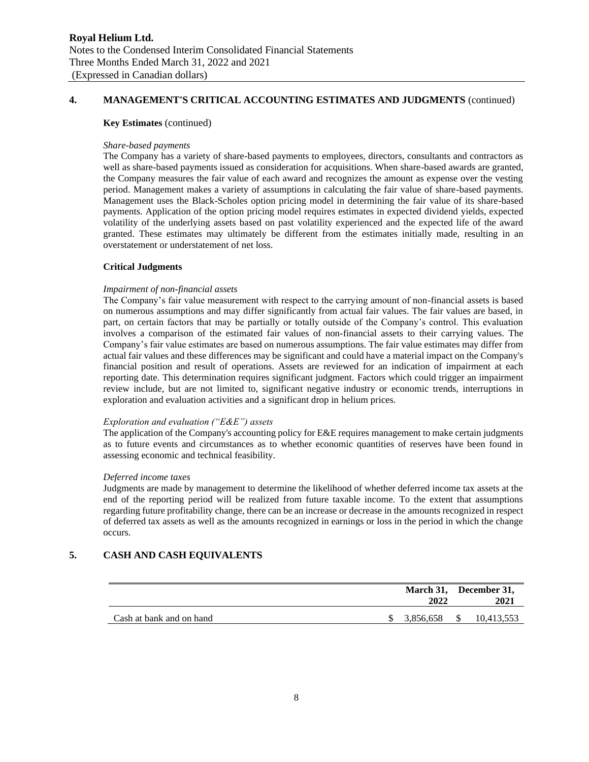## **4. MANAGEMENT'S CRITICAL ACCOUNTING ESTIMATES AND JUDGMENTS** (continued)

#### **Key Estimates** (continued)

#### *Share-based payments*

The Company has a variety of share-based payments to employees, directors, consultants and contractors as well as share-based payments issued as consideration for acquisitions. When share-based awards are granted, the Company measures the fair value of each award and recognizes the amount as expense over the vesting period. Management makes a variety of assumptions in calculating the fair value of share-based payments. Management uses the Black-Scholes option pricing model in determining the fair value of its share-based payments. Application of the option pricing model requires estimates in expected dividend yields, expected volatility of the underlying assets based on past volatility experienced and the expected life of the award granted. These estimates may ultimately be different from the estimates initially made, resulting in an overstatement or understatement of net loss.

#### **Critical Judgments**

#### *Impairment of non-financial assets*

The Company's fair value measurement with respect to the carrying amount of non-financial assets is based on numerous assumptions and may differ significantly from actual fair values. The fair values are based, in part, on certain factors that may be partially or totally outside of the Company's control. This evaluation involves a comparison of the estimated fair values of non-financial assets to their carrying values. The Company's fair value estimates are based on numerous assumptions. The fair value estimates may differ from actual fair values and these differences may be significant and could have a material impact on the Company's financial position and result of operations. Assets are reviewed for an indication of impairment at each reporting date. This determination requires significant judgment. Factors which could trigger an impairment review include, but are not limited to, significant negative industry or economic trends, interruptions in exploration and evaluation activities and a significant drop in helium prices.

#### *Exploration and evaluation ("E&E") assets*

The application of the Company's accounting policy for E&E requires management to make certain judgments as to future events and circumstances as to whether economic quantities of reserves have been found in assessing economic and technical feasibility.

#### *Deferred income taxes*

Judgments are made by management to determine the likelihood of whether deferred income tax assets at the end of the reporting period will be realized from future taxable income. To the extent that assumptions regarding future profitability change, there can be an increase or decrease in the amounts recognized in respect of deferred tax assets as well as the amounts recognized in earnings or loss in the period in which the change occurs.

# **5. CASH AND CASH EQUIVALENTS**

|                          | 2022      |     | March 31, December 31,<br>2021 |
|--------------------------|-----------|-----|--------------------------------|
| Cash at bank and on hand | 3,856,658 | S S | 10,413,553                     |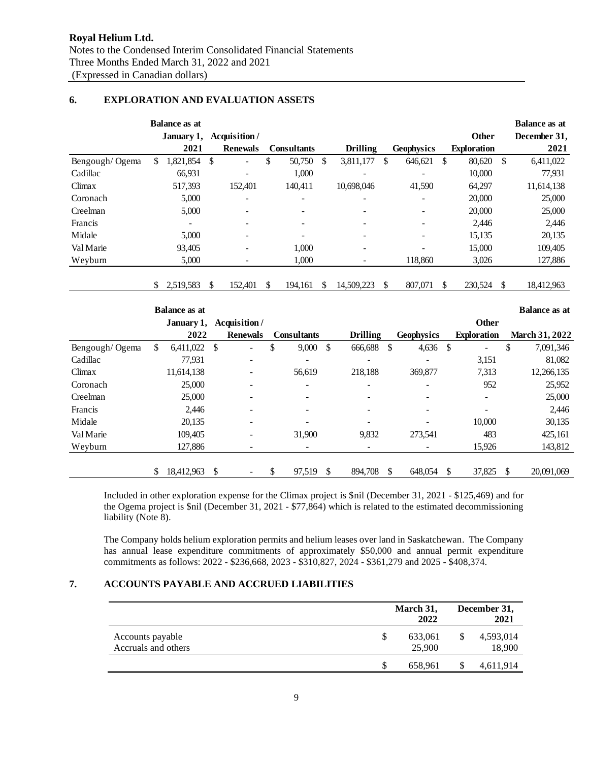## **6. EXPLORATION AND EVALUATION ASSETS**

|                |    | <b>Balance as at</b> |     |                          |                    |     |                          |     |                   |               |                    |    | <b>Balance as at</b> |
|----------------|----|----------------------|-----|--------------------------|--------------------|-----|--------------------------|-----|-------------------|---------------|--------------------|----|----------------------|
|                |    | January 1,           |     | Acquisition/             |                    |     |                          |     |                   |               | Other              |    | December 31,         |
|                |    | 2021                 |     | <b>Renewals</b>          | <b>Consultants</b> |     | <b>Drilling</b>          |     | <b>Geophysics</b> |               | <b>Exploration</b> |    | 2021                 |
| Bengough/Ogema | S. | 1,821,854            | \$  | $\qquad \qquad -$        | \$<br>50,750       | \$  | 3,811,177                | \$  | 646,621           | <sup>\$</sup> | 80,620             | \$ | 6,411,022            |
| Cadillac       |    | 66,931               |     | $\overline{\phantom{a}}$ | 1,000              |     | $\overline{\phantom{0}}$ |     | ۰                 |               | 10,000             |    | 77,931               |
| Climax         |    | 517,393              |     | 152,401                  | 140,411            |     | 10,698,046               |     | 41,590            |               | 64,297             |    | 11,614,138           |
| Coronach       |    | 5,000                |     | ٠                        | -                  |     | $\overline{\phantom{0}}$ |     | ۰                 |               | 20,000             |    | 25,000               |
| Creelman       |    | 5,000                |     |                          | ۰                  |     |                          |     |                   |               | 20,000             |    | 25,000               |
| Francis        |    | ۰                    |     | $\overline{\phantom{a}}$ | ۰                  |     | $\overline{\phantom{0}}$ |     | ۰                 |               | 2,446              |    | 2,446                |
| Midale         |    | 5,000                |     |                          |                    |     |                          |     | ۰                 |               | 15,135             |    | 20,135               |
| Val Marie      |    | 93,405               |     |                          | 1,000              |     |                          |     | ۰                 |               | 15,000             |    | 109,405              |
| Weyburn        |    | 5,000                |     |                          | 1,000              |     | $\qquad \qquad -$        |     | 118,860           |               | 3,026              |    | 127,886              |
|                |    |                      |     |                          |                    |     |                          |     |                   |               |                    |    |                      |
|                | S. | 2,519,583            | \$. | 152,401                  | 194,161            | \$. | 14,509,223               | \$. | 807,071           | \$            | 230,524            | -S | 18,412,963           |
|                |    |                      |     |                          |                    |     |                          |     |                   |               |                    |    |                      |

|                |    | <b>Balance as at</b> |                 |                    |    |                 |    |                   |                    | <b>Balance as at</b>  |
|----------------|----|----------------------|-----------------|--------------------|----|-----------------|----|-------------------|--------------------|-----------------------|
|                |    | January 1,           | Acquisition/    |                    |    |                 |    |                   | <b>Other</b>       |                       |
|                |    | 2022                 | <b>Renewals</b> | <b>Consultants</b> |    | <b>Drilling</b> |    | <b>Geophysics</b> | <b>Exploration</b> | <b>March 31, 2022</b> |
| Bengough/Ogema | S. | $6,411,022$ \$       | ۰               | \$<br>9,000        | -S | 666,688         | -S | $4,636$ \$        | Ξ.                 | \$<br>7,091,346       |
| Cadillac       |    | 77,931               |                 |                    |    |                 |    |                   | 3,151              | 81,082                |
| Climax         |    | 11,614,138           |                 | 56,619             |    | 218.188         |    | 369,877           | 7,313              | 12,266,135            |
| Coronach       |    | 25,000               |                 | ۰                  |    | ٠               |    |                   | 952                | 25,952                |
| Creelman       |    | 25,000               |                 | ۰.                 |    |                 |    |                   | ۰                  | 25,000                |
| Francis        |    | 2,446                |                 | $\overline{a}$     |    |                 |    |                   |                    | 2,446                 |
| Midale         |    | 20,135               |                 |                    |    |                 |    |                   | 10,000             | 30,135                |
| Val Marie      |    | 109.405              | ۰               | 31,900             |    | 9,832           |    | 273,541           | 483                | 425,161               |
| Weyburn        |    | 127,886              |                 |                    |    |                 |    |                   | 15,926             | 143,812               |
|                |    |                      |                 |                    |    |                 |    |                   |                    |                       |
|                |    | 18,412,963           | \$              | \$<br>97,519       | S  | 894,708         | \$ | 648,054           | \$<br>37,825       | 20,091,069            |

Included in other exploration expense for the Climax project is \$nil (December 31, 2021 - \$125,469) and for the Ogema project is \$nil (December 31, 2021 - \$77,864) which is related to the estimated decommissioning liability (Note 8).

The Company holds helium exploration permits and helium leases over land in Saskatchewan. The Company has annual lease expenditure commitments of approximately \$50,000 and annual permit expenditure commitments as follows: 2022 - \$236,668, 2023 - \$310,827, 2024 - \$361,279 and 2025 - \$408,374.

# **7. ACCOUNTS PAYABLE AND ACCRUED LIABILITIES**

|                                         |   | March 31,<br>2022 |    | December 31,<br>2021 |
|-----------------------------------------|---|-------------------|----|----------------------|
| Accounts payable<br>Accruals and others | S | 633,061<br>25,900 | S  | 4,593,014<br>18,900  |
|                                         |   | 658,961           | ٠D | 4,611,914            |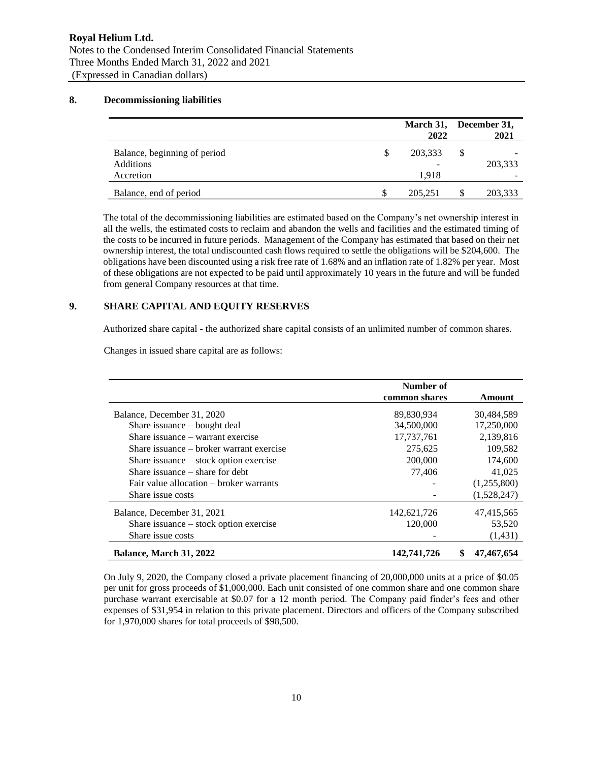## **8. Decommissioning liabilities**

|                                                               |   | March 31, December 31,<br>2022 | 2021          |
|---------------------------------------------------------------|---|--------------------------------|---------------|
| Balance, beginning of period<br><b>Additions</b><br>Accretion | S | 203,333<br>-<br>1.918          | \$<br>203,333 |
| Balance, end of period                                        |   | 205.251                        | 203,333       |

The total of the decommissioning liabilities are estimated based on the Company's net ownership interest in all the wells, the estimated costs to reclaim and abandon the wells and facilities and the estimated timing of the costs to be incurred in future periods. Management of the Company has estimated that based on their net ownership interest, the total undiscounted cash flows required to settle the obligations will be \$204,600. The obligations have been discounted using a risk free rate of 1.68% and an inflation rate of 1.82% per year. Most of these obligations are not expected to be paid until approximately 10 years in the future and will be funded from general Company resources at that time.

### **9. SHARE CAPITAL AND EQUITY RESERVES**

Authorized share capital - the authorized share capital consists of an unlimited number of common shares.

Changes in issued share capital are as follows:

|                                          | Number of     |             |
|------------------------------------------|---------------|-------------|
|                                          | common shares | Amount      |
| Balance, December 31, 2020               | 89,830,934    | 30,484,589  |
| Share issuance $-$ bought deal           | 34,500,000    | 17,250,000  |
| Share issuance – warrant exercise        | 17,737,761    | 2,139,816   |
| Share issuance – broker warrant exercise | 275,625       | 109,582     |
| Share issuance $-$ stock option exercise | 200,000       | 174,600     |
| Share issuance $-$ share for debt        | 77,406        | 41,025      |
| Fair value allocation – broker warrants  |               | (1,255,800) |
| Share issue costs                        |               | (1,528,247) |
| Balance, December 31, 2021               | 142,621,726   | 47,415,565  |
| Share issuance $-$ stock option exercise | 120,000       | 53,520      |
| Share issue costs                        |               | (1,431)     |
| Balance, March 31, 2022                  | 142,741,726   | 47,467,654  |

On July 9, 2020, the Company closed a private placement financing of 20,000,000 units at a price of \$0.05 per unit for gross proceeds of \$1,000,000. Each unit consisted of one common share and one common share purchase warrant exercisable at \$0.07 for a 12 month period. The Company paid finder's fees and other expenses of \$31,954 in relation to this private placement. Directors and officers of the Company subscribed for 1,970,000 shares for total proceeds of \$98,500.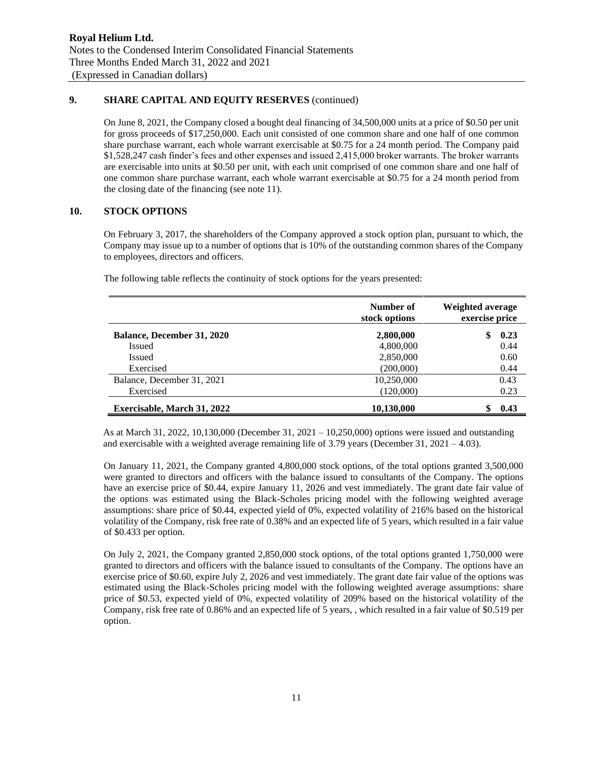# **9. SHARE CAPITAL AND EQUITY RESERVES** (continued)

On June 8, 2021, the Company closed a bought deal financing of 34,500,000 units at a price of \$0.50 per unit for gross proceeds of \$17,250,000. Each unit consisted of one common share and one half of one common share purchase warrant, each whole warrant exercisable at \$0.75 for a 24 month period. The Company paid \$1,528,247 cash finder's fees and other expenses and issued 2,415,000 broker warrants. The broker warrants are exercisable into units at \$0.50 per unit, with each unit comprised of one common share and one half of one common share purchase warrant, each whole warrant exercisable at \$0.75 for a 24 month period from the closing date of the financing (see note 11).

# **10. STOCK OPTIONS**

On February 3, 2017, the shareholders of the Company approved a stock option plan, pursuant to which, the Company may issue up to a number of options that is 10% of the outstanding common shares of the Company to employees, directors and officers.

The following table reflects the continuity of stock options for the years presented:

|                                    | Number of<br>stock options | Weighted average<br>exercise price |
|------------------------------------|----------------------------|------------------------------------|
| <b>Balance, December 31, 2020</b>  | 2,800,000                  | 0.23                               |
| <b>Issued</b>                      | 4,800,000                  | 0.44                               |
| Issued                             | 2,850,000                  | 0.60                               |
| Exercised                          | (200,000)                  | 0.44                               |
| Balance, December 31, 2021         | 10,250,000                 | 0.43                               |
| Exercised                          | (120,000)                  | 0.23                               |
| <b>Exercisable, March 31, 2022</b> | 10,130,000                 | 0.43                               |

As at March 31, 2022, 10,130,000 (December 31, 2021 – 10,250,000) options were issued and outstanding and exercisable with a weighted average remaining life of 3.79 years (December 31, 2021 – 4.03).

On January 11, 2021, the Company granted 4,800,000 stock options, of the total options granted 3,500,000 were granted to directors and officers with the balance issued to consultants of the Company. The options have an exercise price of \$0.44, expire January 11, 2026 and vest immediately. The grant date fair value of the options was estimated using the Black-Scholes pricing model with the following weighted average assumptions: share price of \$0.44, expected yield of 0%, expected volatility of 216% based on the historical volatility of the Company, risk free rate of 0.38% and an expected life of 5 years, which resulted in a fair value of \$0.433 per option.

On July 2, 2021, the Company granted 2,850,000 stock options, of the total options granted 1,750,000 were granted to directors and officers with the balance issued to consultants of the Company. The options have an exercise price of \$0.60, expire July 2, 2026 and vest immediately. The grant date fair value of the options was estimated using the Black-Scholes pricing model with the following weighted average assumptions: share price of \$0.53, expected yield of 0%, expected volatility of 209% based on the historical volatility of the Company, risk free rate of 0.86% and an expected life of 5 years, , which resulted in a fair value of \$0.519 per option.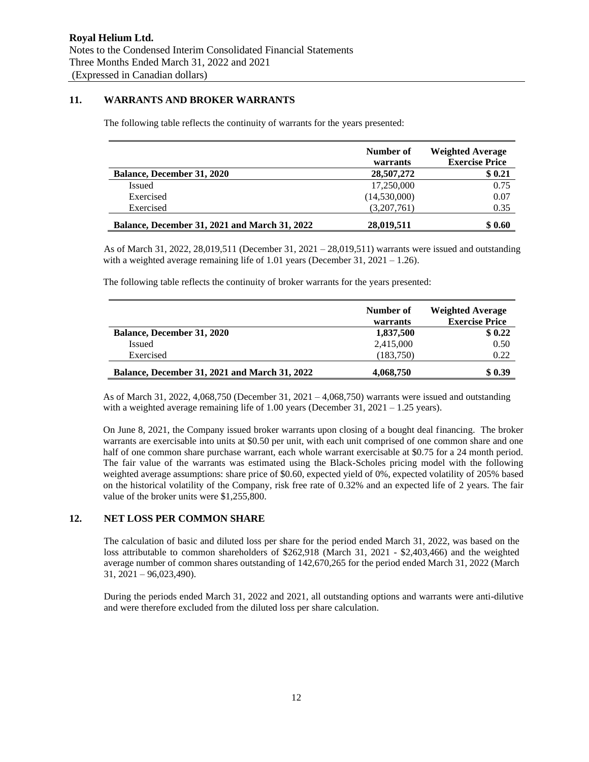# **11. WARRANTS AND BROKER WARRANTS**

The following table reflects the continuity of warrants for the years presented:

|                                                      | Number of<br>warrants | <b>Weighted Average</b><br><b>Exercise Price</b> |
|------------------------------------------------------|-----------------------|--------------------------------------------------|
| <b>Balance, December 31, 2020</b>                    | 28,507,272            | \$0.21                                           |
| Issued                                               | 17,250,000            | 0.75                                             |
| Exercised                                            | (14,530,000)          | 0.07                                             |
| Exercised                                            | (3,207,761)           | 0.35                                             |
| <b>Balance, December 31, 2021 and March 31, 2022</b> | 28,019,511            | \$0.60                                           |

As of March 31, 2022, 28,019,511 (December 31, 2021 – 28,019,511) warrants were issued and outstanding with a weighted average remaining life of  $1.01$  years (December 31,  $2021 - 1.26$ ).

The following table reflects the continuity of broker warrants for the years presented:

|                                                      | Number of<br>warrants | <b>Weighted Average</b><br><b>Exercise Price</b> |
|------------------------------------------------------|-----------------------|--------------------------------------------------|
| <b>Balance, December 31, 2020</b>                    | 1,837,500             | \$0.22                                           |
| Issued                                               | 2,415,000             | 0.50                                             |
| Exercised                                            | (183,750)             | 0.22                                             |
| <b>Balance, December 31, 2021 and March 31, 2022</b> | 4,068,750             | \$0.39                                           |

As of March 31, 2022, 4,068,750 (December 31, 2021 – 4,068,750) warrants were issued and outstanding with a weighted average remaining life of  $1.00$  years (December 31, 2021 – 1.25 years).

On June 8, 2021, the Company issued broker warrants upon closing of a bought deal financing. The broker warrants are exercisable into units at \$0.50 per unit, with each unit comprised of one common share and one half of one common share purchase warrant, each whole warrant exercisable at \$0.75 for a 24 month period. The fair value of the warrants was estimated using the Black-Scholes pricing model with the following weighted average assumptions: share price of \$0.60, expected yield of 0%, expected volatility of 205% based on the historical volatility of the Company, risk free rate of 0.32% and an expected life of 2 years. The fair value of the broker units were \$1,255,800.

### **12. NET LOSS PER COMMON SHARE**

The calculation of basic and diluted loss per share for the period ended March 31, 2022, was based on the loss attributable to common shareholders of \$262,918 (March 31, 2021 - \$2,403,466) and the weighted average number of common shares outstanding of 142,670,265 for the period ended March 31, 2022 (March 31, 2021 – 96,023,490).

During the periods ended March 31, 2022 and 2021, all outstanding options and warrants were anti-dilutive and were therefore excluded from the diluted loss per share calculation.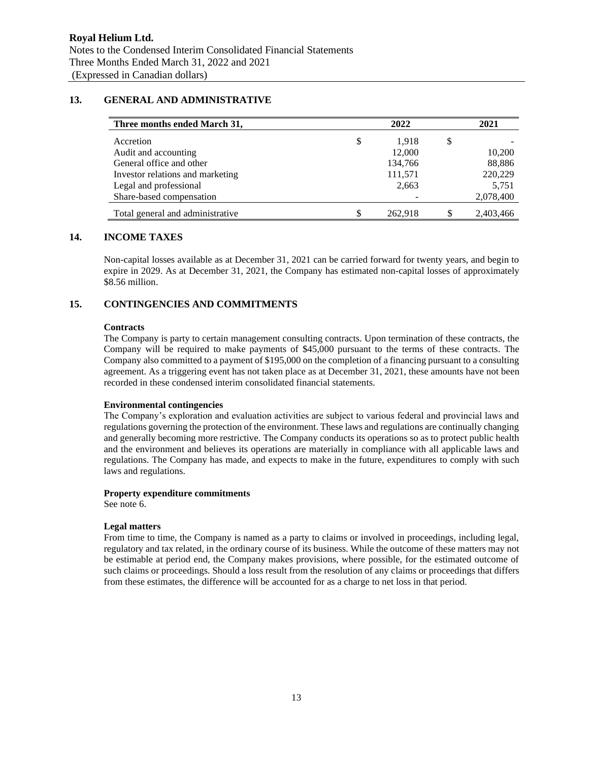# **13. GENERAL AND ADMINISTRATIVE**

| Three months ended March 31,     | 2022        |    |           |
|----------------------------------|-------------|----|-----------|
| Accretion                        | \$<br>1.918 | \$ |           |
| Audit and accounting             | 12,000      |    | 10,200    |
| General office and other         | 134,766     |    | 88,886    |
| Investor relations and marketing | 111,571     |    | 220,229   |
| Legal and professional           | 2,663       |    | 5,751     |
| Share-based compensation         |             |    | 2,078,400 |
| Total general and administrative | 262,918     |    | 2,403,466 |

### **14. INCOME TAXES**

Non-capital losses available as at December 31, 2021 can be carried forward for twenty years, and begin to expire in 2029. As at December 31, 2021, the Company has estimated non-capital losses of approximately \$8.56 million.

# **15. CONTINGENCIES AND COMMITMENTS**

### **Contracts**

The Company is party to certain management consulting contracts. Upon termination of these contracts, the Company will be required to make payments of \$45,000 pursuant to the terms of these contracts. The Company also committed to a payment of \$195,000 on the completion of a financing pursuant to a consulting agreement. As a triggering event has not taken place as at December 31, 2021, these amounts have not been recorded in these condensed interim consolidated financial statements.

### **Environmental contingencies**

The Company's exploration and evaluation activities are subject to various federal and provincial laws and regulations governing the protection of the environment. These laws and regulations are continually changing and generally becoming more restrictive. The Company conducts its operations so as to protect public health and the environment and believes its operations are materially in compliance with all applicable laws and regulations. The Company has made, and expects to make in the future, expenditures to comply with such laws and regulations.

### **Property expenditure commitments**

See note 6.

#### **Legal matters**

From time to time, the Company is named as a party to claims or involved in proceedings, including legal, regulatory and tax related, in the ordinary course of its business. While the outcome of these matters may not be estimable at period end, the Company makes provisions, where possible, for the estimated outcome of such claims or proceedings. Should a loss result from the resolution of any claims or proceedings that differs from these estimates, the difference will be accounted for as a charge to net loss in that period.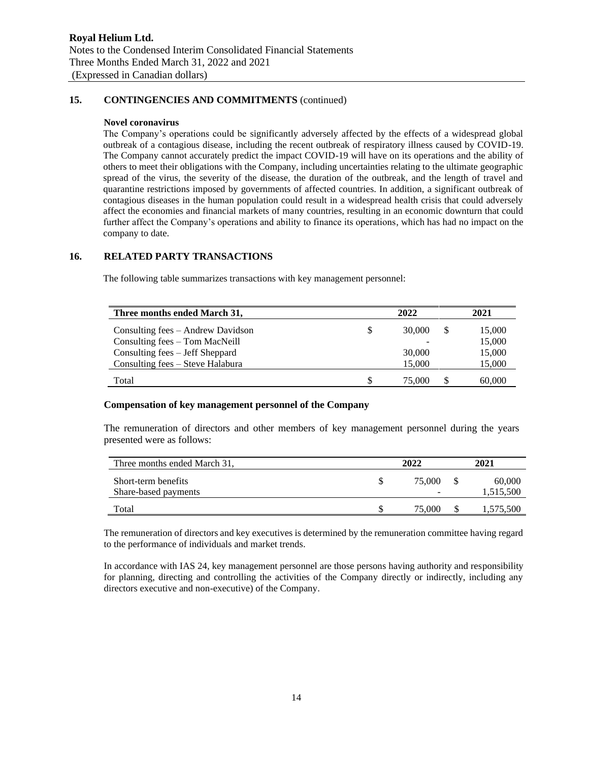# **15. CONTINGENCIES AND COMMITMENTS** (continued)

#### **Novel coronavirus**

The Company's operations could be significantly adversely affected by the effects of a widespread global outbreak of a contagious disease, including the recent outbreak of respiratory illness caused by COVID-19. The Company cannot accurately predict the impact COVID-19 will have on its operations and the ability of others to meet their obligations with the Company, including uncertainties relating to the ultimate geographic spread of the virus, the severity of the disease, the duration of the outbreak, and the length of travel and quarantine restrictions imposed by governments of affected countries. In addition, a significant outbreak of contagious diseases in the human population could result in a widespread health crisis that could adversely affect the economies and financial markets of many countries, resulting in an economic downturn that could further affect the Company's operations and ability to finance its operations, which has had no impact on the company to date.

### **16. RELATED PARTY TRANSACTIONS**

The following table summarizes transactions with key management personnel:

| Three months ended March 31,      | 2022 |        |    | 2021   |
|-----------------------------------|------|--------|----|--------|
| Consulting fees – Andrew Davidson | S    | 30,000 | \$ | 15,000 |
| Consulting fees – Tom MacNeill    |      |        |    | 15,000 |
| Consulting fees – Jeff Sheppard   |      | 30,000 |    | 15,000 |
| Consulting fees – Steve Halabura  |      | 15.000 |    | 15,000 |
| Total                             | S    | 75.000 | S  | 60,000 |

#### **Compensation of key management personnel of the Company**

The remuneration of directors and other members of key management personnel during the years presented were as follows:

| Three months ended March 31,                | 2022        | 2021                |
|---------------------------------------------|-------------|---------------------|
| Short-term benefits<br>Share-based payments | 75,000<br>- | 60,000<br>1,515,500 |
| Total                                       | 75,000      | 1,575,500           |

The remuneration of directors and key executives is determined by the remuneration committee having regard to the performance of individuals and market trends.

In accordance with IAS 24, key management personnel are those persons having authority and responsibility for planning, directing and controlling the activities of the Company directly or indirectly, including any directors executive and non-executive) of the Company.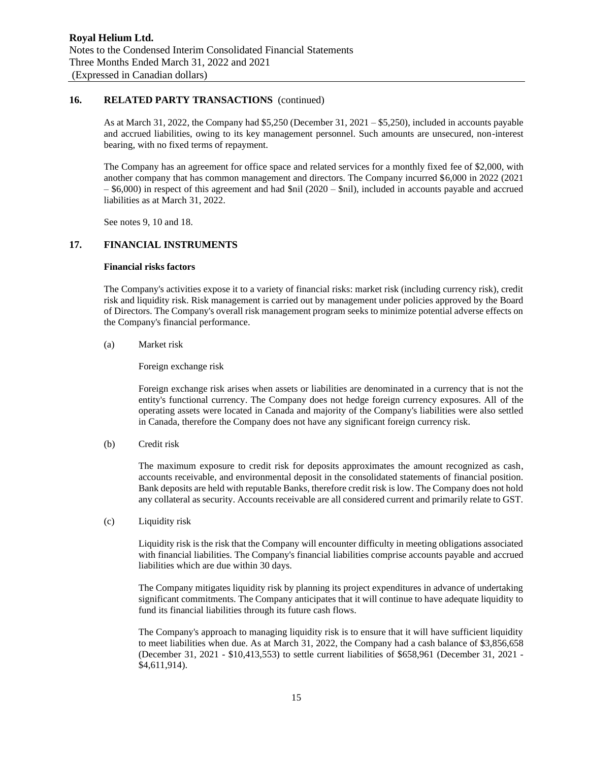# **16. RELATED PARTY TRANSACTIONS** (continued)

As at March 31, 2022, the Company had \$5,250 (December 31, 2021 – \$5,250), included in accounts payable and accrued liabilities, owing to its key management personnel. Such amounts are unsecured, non-interest bearing, with no fixed terms of repayment.

The Company has an agreement for office space and related services for a monthly fixed fee of \$2,000, with another company that has common management and directors. The Company incurred \$6,000 in 2022 (2021 – \$6,000) in respect of this agreement and had \$nil (2020 – \$nil), included in accounts payable and accrued liabilities as at March 31, 2022.

See notes 9, 10 and 18.

### **17. FINANCIAL INSTRUMENTS**

#### **Financial risks factors**

The Company's activities expose it to a variety of financial risks: market risk (including currency risk), credit risk and liquidity risk. Risk management is carried out by management under policies approved by the Board of Directors. The Company's overall risk management program seeks to minimize potential adverse effects on the Company's financial performance.

#### (a) Market risk

Foreign exchange risk

Foreign exchange risk arises when assets or liabilities are denominated in a currency that is not the entity's functional currency. The Company does not hedge foreign currency exposures. All of the operating assets were located in Canada and majority of the Company's liabilities were also settled in Canada, therefore the Company does not have any significant foreign currency risk.

(b) Credit risk

The maximum exposure to credit risk for deposits approximates the amount recognized as cash, accounts receivable, and environmental deposit in the consolidated statements of financial position. Bank deposits are held with reputable Banks, therefore credit risk is low. The Company does not hold any collateral as security. Accounts receivable are all considered current and primarily relate to GST.

(c) Liquidity risk

Liquidity risk is the risk that the Company will encounter difficulty in meeting obligations associated with financial liabilities. The Company's financial liabilities comprise accounts payable and accrued liabilities which are due within 30 days.

The Company mitigates liquidity risk by planning its project expenditures in advance of undertaking significant commitments. The Company anticipates that it will continue to have adequate liquidity to fund its financial liabilities through its future cash flows.

The Company's approach to managing liquidity risk is to ensure that it will have sufficient liquidity to meet liabilities when due. As at March 31, 2022, the Company had a cash balance of \$3,856,658 (December 31, 2021 - \$10,413,553) to settle current liabilities of \$658,961 (December 31, 2021 - \$4,611,914).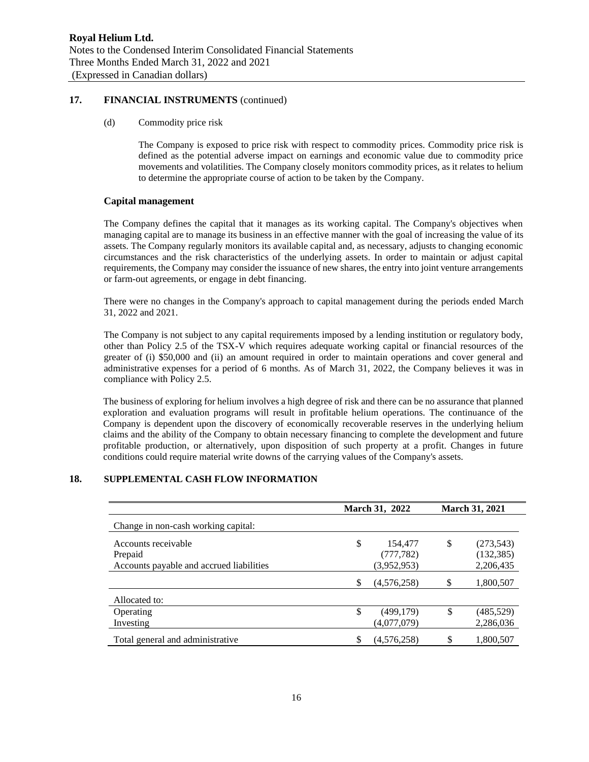## **17. FINANCIAL INSTRUMENTS** (continued)

#### (d) Commodity price risk

The Company is exposed to price risk with respect to commodity prices. Commodity price risk is defined as the potential adverse impact on earnings and economic value due to commodity price movements and volatilities. The Company closely monitors commodity prices, as it relates to helium to determine the appropriate course of action to be taken by the Company.

### **Capital management**

The Company defines the capital that it manages as its working capital. The Company's objectives when managing capital are to manage its business in an effective manner with the goal of increasing the value of its assets. The Company regularly monitors its available capital and, as necessary, adjusts to changing economic circumstances and the risk characteristics of the underlying assets. In order to maintain or adjust capital requirements, the Company may consider the issuance of new shares, the entry into joint venture arrangements or farm-out agreements, or engage in debt financing.

There were no changes in the Company's approach to capital management during the periods ended March 31, 2022 and 2021.

The Company is not subject to any capital requirements imposed by a lending institution or regulatory body, other than Policy 2.5 of the TSX-V which requires adequate working capital or financial resources of the greater of (i) \$50,000 and (ii) an amount required in order to maintain operations and cover general and administrative expenses for a period of 6 months. As of March 31, 2022, the Company believes it was in compliance with Policy 2.5.

The business of exploring for helium involves a high degree of risk and there can be no assurance that planned exploration and evaluation programs will result in profitable helium operations. The continuance of the Company is dependent upon the discovery of economically recoverable reserves in the underlying helium claims and the ability of the Company to obtain necessary financing to complete the development and future profitable production, or alternatively, upon disposition of such property at a profit. Changes in future conditions could require material write downs of the carrying values of the Company's assets.

### **18. SUPPLEMENTAL CASH FLOW INFORMATION**

|                                          | March 31, 2022 |             | <b>March 31, 2021</b> |            |
|------------------------------------------|----------------|-------------|-----------------------|------------|
| Change in non-cash working capital:      |                |             |                       |            |
| Accounts receivable                      | \$             | 154,477     | \$                    | (273, 543) |
| Prepaid                                  |                | (777, 782)  |                       | (132, 385) |
| Accounts payable and accrued liabilities |                | (3.952.953) |                       | 2,206,435  |
|                                          | S              | (4,576,258) | \$                    | 1,800,507  |
| Allocated to:                            |                |             |                       |            |
| Operating                                | \$             | (499, 179)  | \$                    | (485, 529) |
| Investing                                |                | (4,077,079) |                       | 2,286,036  |
| Total general and administrative         |                | (4.576.258) | \$                    | 1.800.507  |